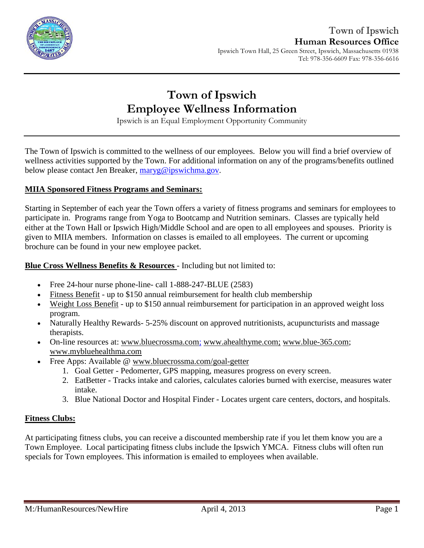

# **Town of Ipswich Employee Wellness Information**

Ipswich is an Equal Employment Opportunity Community

The Town of Ipswich is committed to the wellness of our employees. Below you will find a brief overview of wellness activities supported by the Town. For additional information on any of the programs/benefits outlined below please contact Jen Breaker, [maryg@ipswichma.gov.](mailto:maryg@ipswichma.gov)

#### **MIIA Sponsored Fitness Programs and Seminars:**

Starting in September of each year the Town offers a variety of fitness programs and seminars for employees to participate in. Programs range from Yoga to Bootcamp and Nutrition seminars. Classes are typically held either at the Town Hall or Ipswich High/Middle School and are open to all employees and spouses. Priority is given to MIIA members. Information on classes is emailed to all employees. The current or upcoming brochure can be found in your new employee packet.

**Blue Cross Wellness Benefits & Resources** - Including but not limited to:

- Free 24-hour nurse phone-line- call 1-888-247-BLUE (2583)
- [Fitness Benefit](http://www.emiia.org/images/wellnessflyers/Fitness_Benefit_Form.pdf) up to \$150 annual reimbursement for health club membership
- [Weight Loss Benefit](http://www.emiia.org/images/wellnessflyers/Weight_Loss_Form.pdf) up to \$150 annual reimbursement for participation in an approved weight loss program.
- Naturally Healthy Rewards- 5-25% discount on approved nutritionists, acupuncturists and massage therapists.
- On-line resources at: [www.bluecrossma.com](http://www.bluecrossma.com/)[;](http://;/) [www.ahealthyme.com](http://www.ahealthyme.com/)[;](http://www.emiia.org/) [www.blue-365.com;](https://www.blue-365.com/?planid=bluecrossmacom) [www.mybluehealthma.com](http://www.mybluehealthma.com/)
- Free Apps: Available @ [www.bluecrossma.com/goal-getter](http://www.bluecrossma.com/goal-getter/)
	- 1. Goal Getter Pedomerter, GPS mapping, measures progress on every screen.
	- 2. EatBetter Tracks intake and calories, calculates calories burned with exercise, measures water intake.
	- 3. Blue National Doctor and Hospital Finder Locates urgent care centers, doctors, and hospitals.

#### **Fitness Clubs:**

At participating fitness clubs, you can receive a discounted membership rate if you let them know you are a Town Employee. Local participating fitness clubs include the Ipswich YMCA. Fitness clubs will often run specials for Town employees. This information is emailed to employees when available.

M:/HumanResources/NewHire April 4, 2013 April 4, 2013